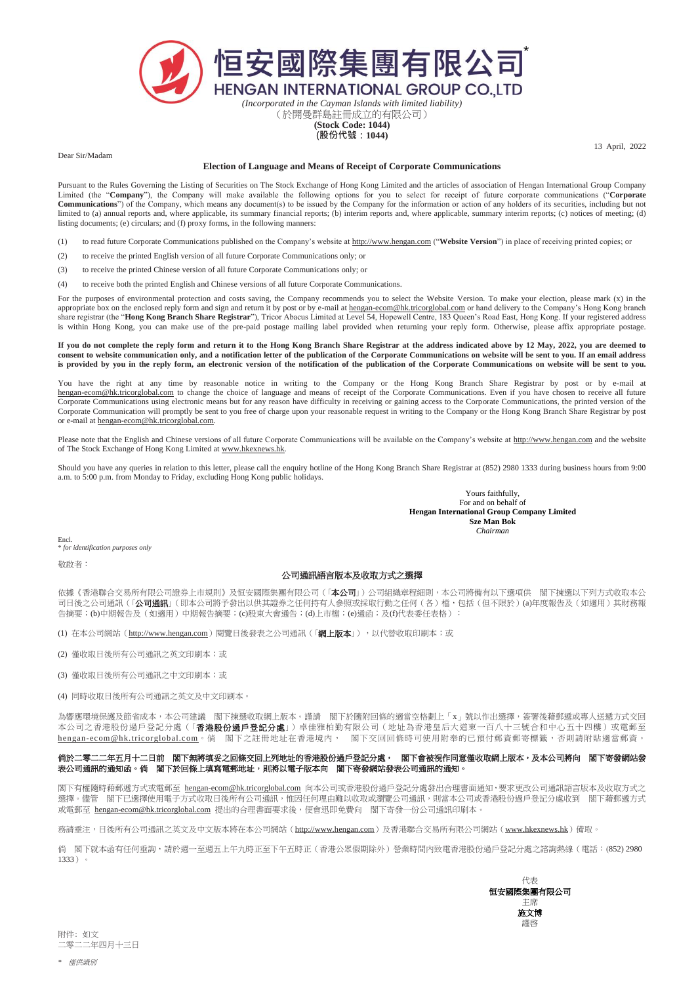

(於開曼群島註冊成立的有限公司) **(Stock Code: 1044)**

**(股份代號:1044)**

13 April, 2022

Dear Sir/Madam

## **Election of Language and Means of Receipt of Corporate Communications**

Pursuant to the Rules Governing the Listing of Securities on The Stock Exchange of Hong Kong Limited and the articles of association of Hengan International Group Company Limited (the "**Company**"), the Company will make available the following options for you to select for receipt of future corporate communications ("**Corporate** Communications") of the Company, which means any document(s) to be issued by the Company for the information or action of any holders of its securities, including but not limited to (a) annual reports and, where applicable, its summary financial reports; (b) interim reports and, where applicable, summary interim reports; (c) notices of meeting; (d) listing documents; (e) circulars; and (f) proxy forms, in the following manners:

- (1) to read future Corporate Communications published on the Company's website at http://www.hengan.com ("**Website Version**") in place of receiving printed copies; or
- (2) to receive the printed English version of all future Corporate Communications only; or
- (3) to receive the printed Chinese version of all future Corporate Communications only; or
- (4) to receive both the printed English and Chinese versions of all future Corporate Communications.

For the purposes of environmental protection and costs saving, the Company recommends you to select the Website Version. To make your election, please mark (x) in the appropriate box on the enclosed reply form and sign and return it by post or by e-mail at hengan-ecom@hk.tricorglobal.com or hand delivery to the Company's Hong Kong branch share registrar (the "**Hong Kong Branch Share Registrar**"), Tricor Abacus Limited at Level 54, Hopewell Centre, 183 Queen's Road East, Hong Kong. If your registered address is within Hong Kong, you can make use of the pre-paid postage mailing label provided when returning your reply form. Otherwise, please affix appropriate postage.

**If you do not complete the reply form and return it to the Hong Kong Branch Share Registrar at the address indicated above by 12 May, 2022, you are deemed to consent to website communication only, and a notification letter of the publication of the Corporate Communications on website will be sent to you. If an email address is provided by you in the reply form, an electronic version of the notification of the publication of the Corporate Communications on website will be sent to you.**

You have the right at any time by reasonable notice in writing to the Company or the Hong Kong Branch Share Registrar by post or by e-mail at hengan-ecom@hk.tricorglobal.com to change the choice of language and means of receipt of the Corporate Communications. Even if you have chosen to receive all future Corporate Communications using electronic means but for any reason have difficulty in receiving or gaining access to the Corporate Communications, the printed version of the Corporate Communication will promptly be sent to you free of charge upon your reasonable request in writing to the Company or the Hong Kong Branch Share Registrar by post or e-mail at hengan-ecom@hk.tricorglobal.com.

Please note that the English and Chinese versions of all future Corporate Communications will be available on the Company's website at http://www.hengan.com and the website of The Stock Exchange of Hong Kong Limited at www.hkexnews.hk.

Should you have any queries in relation to this letter, please call the enquiry hotline of the Hong Kong Branch Share Registrar at (852) 2980 1333 during business hours from 9:00 a.m. to 5:00 p.m. from Monday to Friday, excluding Hong Kong public holidays.

> Yours faithfully, For and on behalf of **Hengan International Group Company Limited Sze Man Bok** *Chairman*

Encl. \* *for identification purposes only*

敬啟者:

## 公司通訊語言版本及收取方式之選擇

依據《香港聯合交易所有限公司證券上市規則》及恒安國際集團有限公司(「本公司」)公司組織章程細則,本公司將備有以下選項供 閣下揀選以下列方式收取本公 司日後之公司通訊(「**公司通訊**」(即本公司將予發出以供其證券之任何持有人參照或採取行動之任何(各)檔,包括(但不限於)(a)年度報告及(如適用)其財務報 告摘要;(b)中期報告及(如適用)中期報告摘要;(c)股東大會通告;(d)上市檔;(e)通函;及(f)代表委任表格):

(1) 在本公司網站(http://www.hengan.com)閱覽日後發表之公司通訊(「網上版本」),以代替收取印刷本;或

- (2) 僅收取日後所有公司通訊之英文印刷本;或
- (3) 僅收取日後所有公司通訊之中文印刷本;或
- (4) 同時收取日後所有公司通訊之英文及中文印刷本。

為響應環境保護及節省成本,本公司建議 閣下揀選收取網上版本。謹請 閣下於隨附回條的適當空格劃上「x」號以作出選擇,簽署後藉郵遞或專人送遞方式交回 本公司之香港股份過戶登記分處(「**香港股份過戶登記分處**」)卓佳雅柏勤有限公司(地址為香港皇后大道東一百八十三號合和中心五十四樓)或電郵至 hengan-ecom@hk.tricorglobal.com。倘 閣下之註冊地址在香港境內, 閣下交回回條時可使用附奉的已預付郵資郵寄標籤,否則請附貼適當郵資。

## **倘於二零二二年五月十二日前 閣下無將填妥之回條交回上列地址的香港股份過戶登記分處, 閣下會被視作同意僅收取網上版本,及本公司將向 閣下寄發網站發** 表公司通訊的通知函。倘 閣下於回條上填寫電郵地址,則將以電子版本向 閣下寄發網站發表公司通訊的通知。

閣下有權隨時藉郵遞方式或電郵至 hengan-ecom@hk.tricorglobal.com 向本公司或香港股份過戶登記分處發出合理書面通知,要求更改公司通訊語言版本及收取方式之 選擇。儘管 閣下已選擇使用電子方式收取日後所有公司通訊,惟因任何理由難以收取或瀏覽公司通訊,則當本公司或香港股份過戶登記分處收到 閣下藉郵遞方式 或電郵至 hengan-ecom@hk.tricorglobal.com 提出的合理書面要求後,便會迅即免費向 閣下寄發一份公司通訊印刷本。

務請垂注,日後所有公司通訊之英文及中文版本將在本公司網站(http://www.hengan.com)及香港聯合交易所有限公司網站(www.hkexnews.hk)備取。

尚 閣下就本函有任何垂詢,請於週一至週五上午九時正至下午五時正(香港公眾假期除外)營業時間內致電香港股份過戶登記分處之諮詢熱線(電話:(852) 2980 1333)。



附件: 如文 二零二二年四月十三日